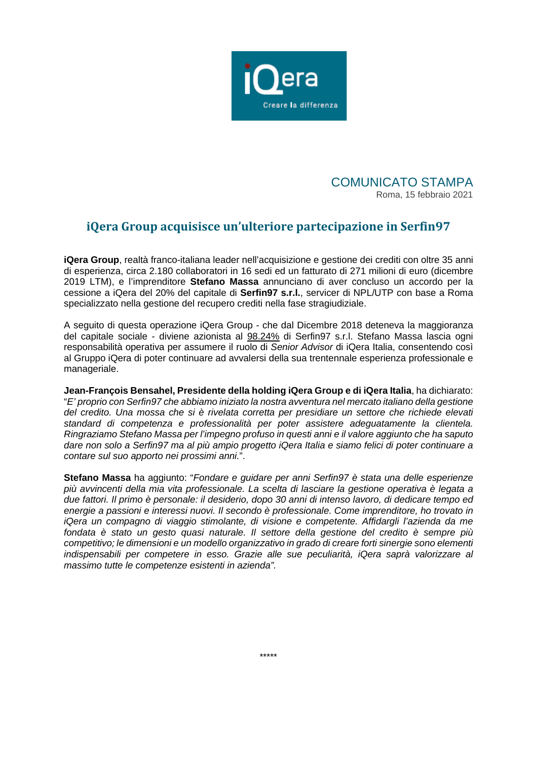

COMUNICATO STAMPA Roma, 15 febbraio 2021

## **iQera Group acquisisce un'ulteriore partecipazione in Serfin97**

**iQera Group**, realtà franco-italiana leader nell'acquisizione e gestione dei crediti con oltre 35 anni di esperienza, circa 2.180 collaboratori in 16 sedi ed un fatturato di 271 milioni di euro (dicembre 2019 LTM), e l'imprenditore **Stefano Massa** annunciano di aver concluso un accordo per la cessione a iQera del 20% del capitale di **Serfin97 s.r.l.**, servicer di NPL/UTP con base a Roma specializzato nella gestione del recupero crediti nella fase stragiudiziale.

A seguito di questa operazione iQera Group - che dal Dicembre 2018 deteneva la maggioranza del capitale sociale - diviene azionista al 98.24% di Serfin97 s.r.l. Stefano Massa lascia ogni responsabilità operativa per assumere il ruolo di *Senior Advisor* di iQera Italia, consentendo così al Gruppo iQera di poter continuare ad avvalersi della sua trentennale esperienza professionale e manageriale.

**Jean-François Bensahel, Presidente della holding iQera Group e di iQera Italia**, ha dichiarato: "*E' proprio con Serfin97 che abbiamo iniziato la nostra avventura nel mercato italiano della gestione del credito. Una mossa che si è rivelata corretta per presidiare un settore che richiede elevati standard di competenza e professionalità per poter assistere adeguatamente la clientela. Ringraziamo Stefano Massa per l'impegno profuso in questi anni e il valore aggiunto che ha saputo dare non solo a Serfin97 ma al più ampio progetto iQera Italia e siamo felici di poter continuare a contare sul suo apporto nei prossimi anni.*".

**Stefano Massa** ha aggiunto: "*Fondare e guidare per anni Serfin97 è stata una delle esperienze più avvincenti della mia vita professionale. La scelta di lasciare la gestione operativa è legata a due fattori. Il primo è personale: il desiderio, dopo 30 anni di intenso lavoro, di dedicare tempo ed energie a passioni e interessi nuovi. Il secondo è professionale. Come imprenditore, ho trovato in iQera un compagno di viaggio stimolante, di visione e competente. Affidargli l'azienda da me fondata è stato un gesto quasi naturale. Il settore della gestione del credito è sempre più competitivo; le dimensioni e un modello organizzativo in grado di creare forti sinergie sono elementi indispensabili per competere in esso. Grazie alle sue peculiarità, iQera saprà valorizzare al massimo tutte le competenze esistenti in azienda".*